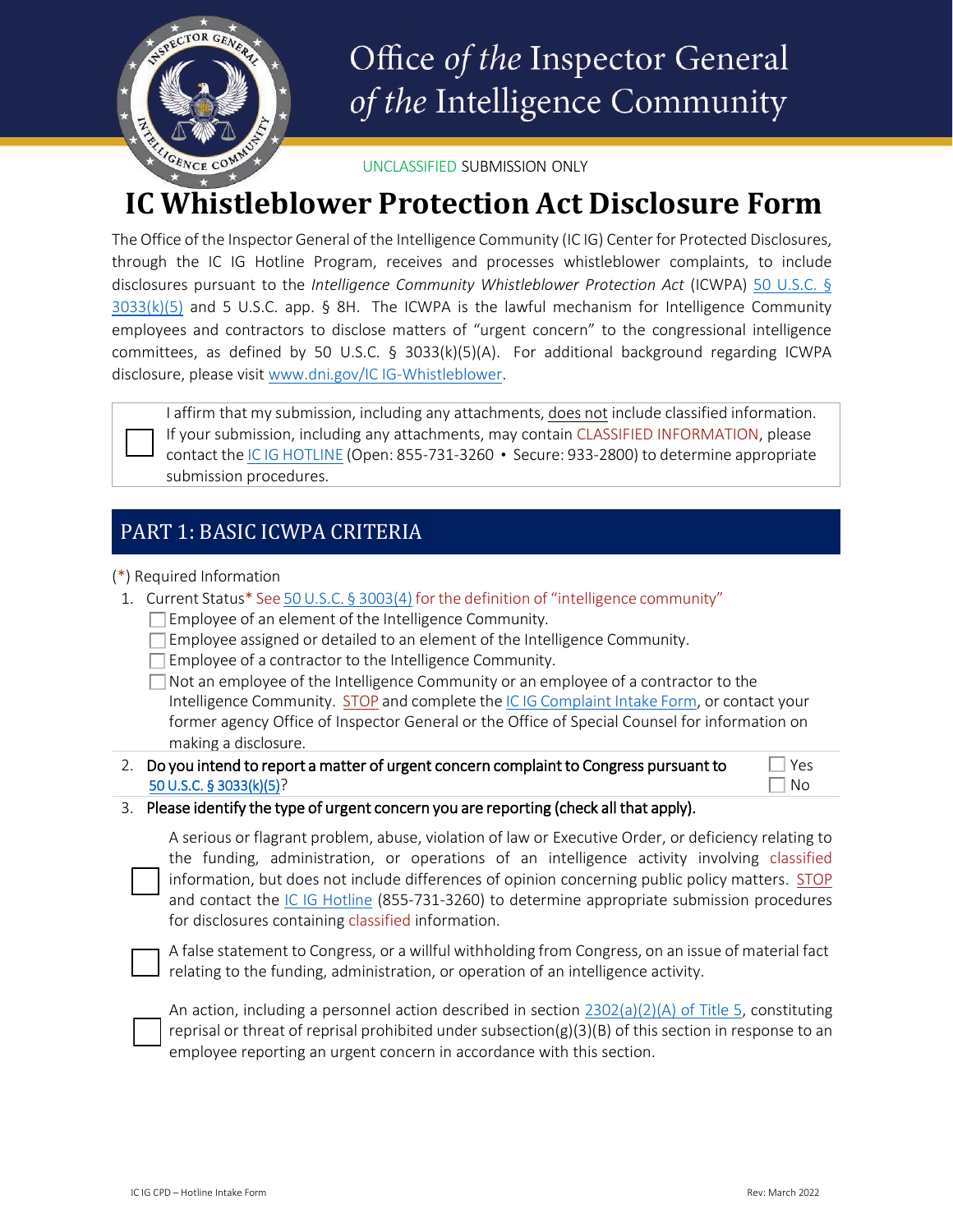

# Office of the Inspector General of the Intelligence Community

UNCLASSIFIED SUBMISSION ONLY

## **IC Whistleblower Protection Act Disclosure Form**

The Office of the Inspector General of the Intelligence Community (IC IG) Center for Protected Disclosures, through the IC IG Hotline Program, receives and processes whistleblower complaints, to include disclosures pursuant to the *Intelligence Community Whistleblower Protection Act* (ICWPA) [50 U.S.C. §](https://www.govinfo.gov/content/pkg/USCODE-2015-title50/html/USCODE-2015-title50-chap44-subchapI-sec3033.htm) [3033\(k\)\(5\)](https://www.govinfo.gov/content/pkg/USCODE-2015-title50/html/USCODE-2015-title50-chap44-subchapI-sec3033.htm) and 5 U.S.C. app. § 8H. The ICWPA is the lawful mechanism for Intelligence Community employees and contractors to disclose matters of "urgent concern" to the congressional intelligence committees, as defined by 50 U.S.C. § 3033(k)(5)(A). For additional background regarding ICWPA disclosure, please visi[t www.dni.gov/IC IG-Whistleblower.](http://www.dni.gov/ICIG-Whistleblower)



I affirm that my submission, including any attachments, does not include classified information. If your submission, including any attachments, may contain CLASSIFIED INFORMATION, please contact the IC IG [HOTLINE](https://www.dni.gov/index.php/who-we-are/organizations/icig/icig-who-we-are) (Open: 855-731-3260 • Secure: 933-2800) to determine appropriate submission procedures.

## PART 1: BASIC ICWPA CRITERIA

(\*) Required Information

- 1. Current Status\* See [50U.S.C.](https://www.govinfo.gov/content/pkg/USCODE-2015-title50/html/USCODE-2015-title50-chap44-subchapI-sec3033.htm) § 3003(4) forthe definition of "intelligence community"
	- $\Box$  Employee of an element of the Intelligence Community.
	- $\Box$  Employee assigned or detailed to an element of the Intelligence Community.
	- $\Box$  Employee of a contractor to the Intelligence Community.

 $\Box$  Not an employee of the Intelligence Community or an employee of a contractor to the Intelligence Community. STOP and complete the IC IG [Complaint](https://www.dni.gov/files/ICIG/Documents/Hotline/Hotline%20Intake%20Form.pdf) Intake Form, or contact your former agency Office of Inspector General or the Office of Special Counsel for information on making a disclosure.

2. Do you intend to report a matter of urgent concern complaint to Congress pursuant to [50 U.S.C. § 3033\(k\)\(5\)](https://www.govinfo.gov/content/pkg/USCODE-2015-title50/html/USCODE-2015-title50-chap44-subchapI-sec3033.htm)?

 $\Box$  Yes  $\exists$  No

#### 3. Please identify the type of urgent concern you are reporting (check all that apply).

A serious or flagrant problem, abuse, violation of law or Executive Order, or deficiency relating to the funding, administration, or operations of an intelligence activity involving classified information, but does not include differences of opinion concerning public policy matters. STOP and contact the [IC IG Hotline](https://www.dni.gov/index.php/who-we-are/organizations/icig/icig-hotline) (855-731-3260) to determine appropriate submission procedures for disclosures containing classified information.

A false statement to Congress, or a willful withholding from Congress, on an issue of material fact relating to the funding, administration, or operation of an intelligence activity.

An action, including a personnel action described in section  $2302(a)(2)(A)$  of Title 5, constituting reprisal or threat of reprisal prohibited under subsection( $g$ )(3)(B) of this section in response to an employee reporting an urgent concern in accordance with this section.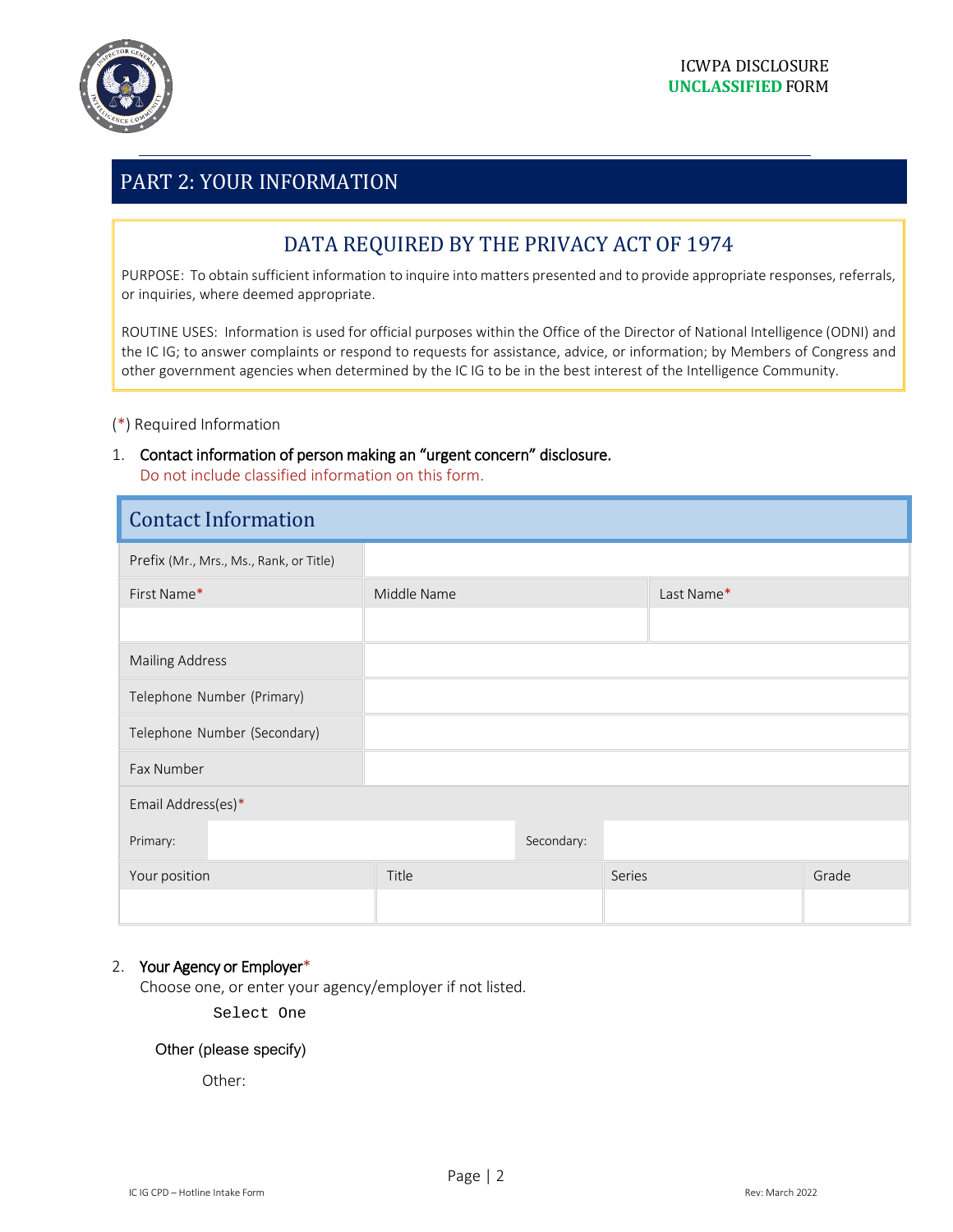

## PART 2: YOUR INFORMATION

## DATA REQUIRED BY THE PRIVACY ACT OF 1974

PURPOSE: To obtain sufficient information to inquire into matters presented and to provide appropriate responses, referrals, or inquiries, where deemed appropriate.

ROUTINE USES: Information is used for official purposes within the Office of the Director of National Intelligence (ODNI) and the IC IG; to answer complaints or respond to requests for assistance, advice, or information; by Members of Congress and other government agencies when determined by the IC IG to be in the best interest of the Intelligence Community.

(\*) Required Information

1. Contact information of person making an "urgent concern" disclosure. Do not include classified information on this form.

| <b>Contact Information</b>              |             |            |            |       |
|-----------------------------------------|-------------|------------|------------|-------|
| Prefix (Mr., Mrs., Ms., Rank, or Title) |             |            |            |       |
| First Name*                             | Middle Name |            | Last Name* |       |
|                                         |             |            |            |       |
| <b>Mailing Address</b>                  |             |            |            |       |
| Telephone Number (Primary)              |             |            |            |       |
| Telephone Number (Secondary)            |             |            |            |       |
| Fax Number                              |             |            |            |       |
| Email Address(es)*                      |             |            |            |       |
| Primary:                                |             | Secondary: |            |       |
| Your position                           | Title       | Series     |            | Grade |
|                                         |             |            |            |       |

#### 2. Your Agency or Employer\*

Choose one, or enter your agency/employer if not listed.

Select One

#### Other (please specify)

Other: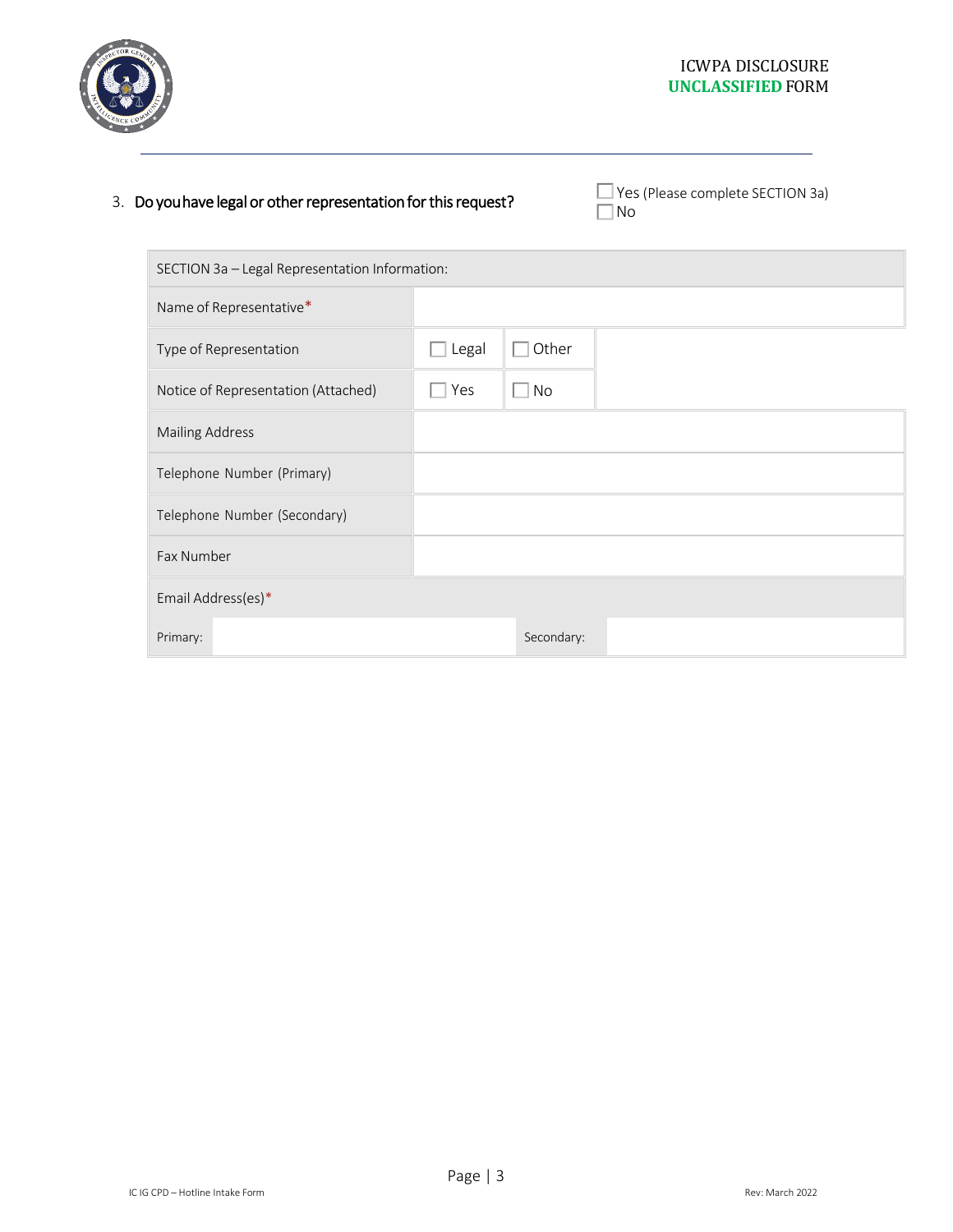

### 3. Do you have legal or other representation for this request?

□ Yes (Please complete SECTION 3a)<br>□ No

| SECTION 3a - Legal Representation Information: |       |            |  |  |
|------------------------------------------------|-------|------------|--|--|
| Name of Representative*                        |       |            |  |  |
| Type of Representation                         | Legal | Other      |  |  |
| Notice of Representation (Attached)            | Yes   | No         |  |  |
| <b>Mailing Address</b>                         |       |            |  |  |
| Telephone Number (Primary)                     |       |            |  |  |
| Telephone Number (Secondary)                   |       |            |  |  |
| Fax Number                                     |       |            |  |  |
| Email Address(es)*                             |       |            |  |  |
| Primary:                                       |       | Secondary: |  |  |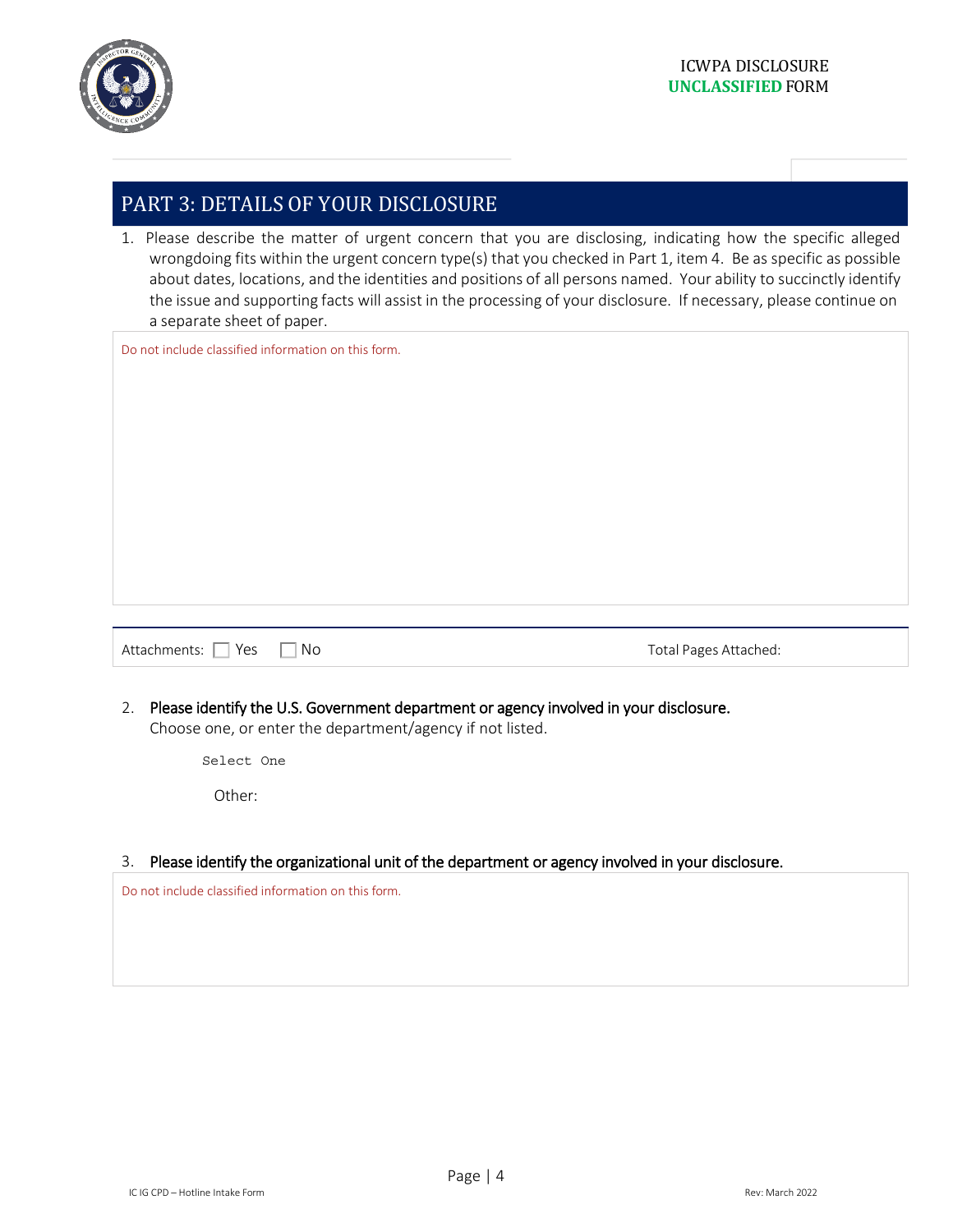

## PART 3: DETAILS OF YOUR DISCLOSURE

1. Please describe the matter of urgent concern that you are disclosing, indicating how the specific alleged wrongdoing fits within the urgent concern type(s) that you checked in Part 1, item 4. Be as specific as possible about dates, locations, and the identities and positions of all persons named. Your ability to succinctly identify the issue and supporting facts will assist in the processing of your disclosure. If necessary, please continue on a separate sheet of paper.

Do not include classified information on this form.

Attachments: Yes No Total Pages Attached:

2. Please identify the U.S. Government department or agency involved in your disclosure. Choose one, or enter the department/agency if not listed.

Select One

Other:

#### 3. Please identify the organizational unit of the department or agency involved in your disclosure.

Do not include classified information on this form.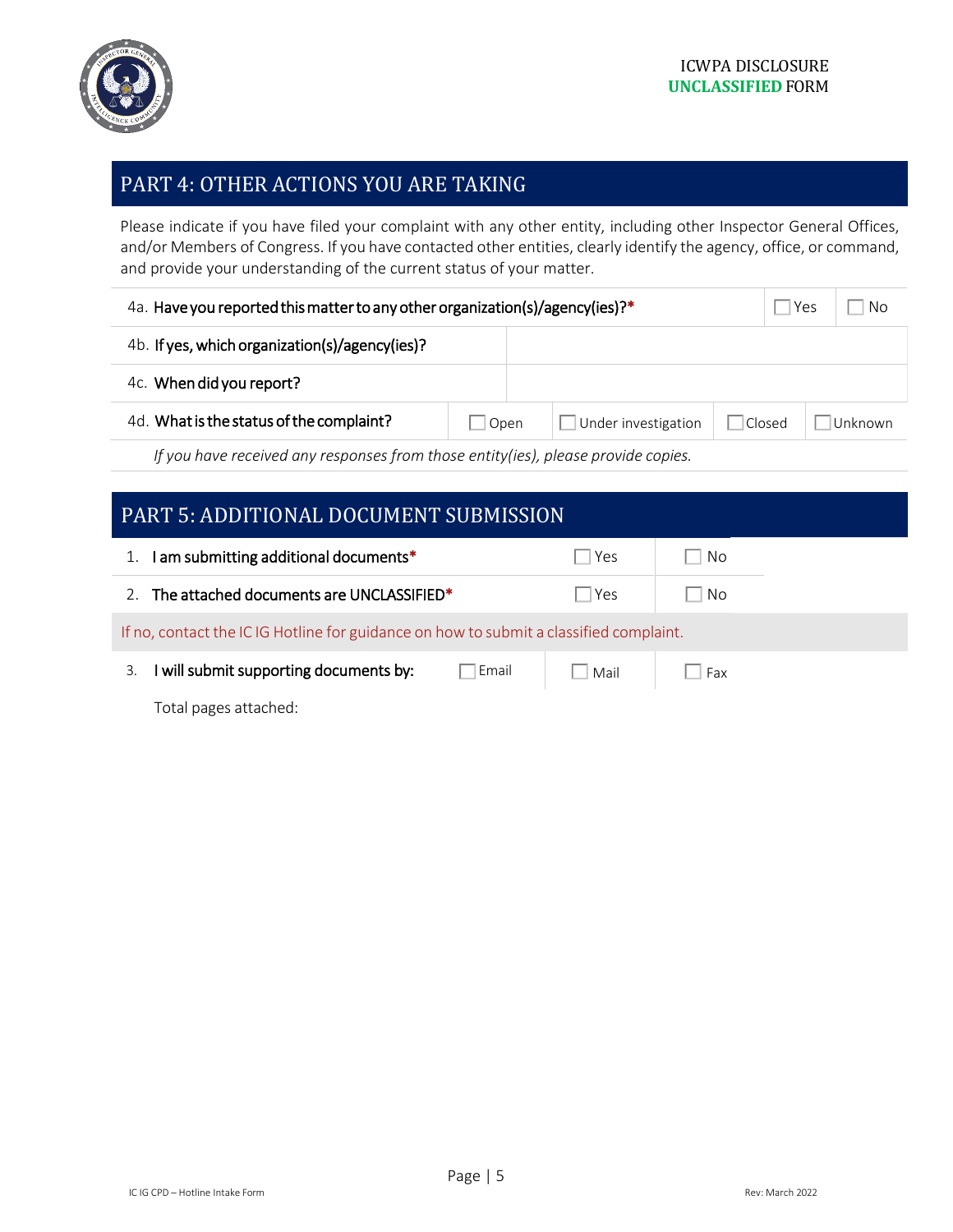

## PART 4: OTHER ACTIONS YOU ARE TAKING

Please indicate if you have filed your complaint with any other entity, including other Inspector General Offices, and/or Members of Congress. If you have contacted other entities, clearly identify the agency, office, or command, and provide your understanding of the current status of your matter.

| 4a. Have you reported this matter to any other organization(s)/agency(ies)?*      |      |  |                     | Yes | No     |          |
|-----------------------------------------------------------------------------------|------|--|---------------------|-----|--------|----------|
| 4b. If yes, which organization(s)/agency(ies)?                                    |      |  |                     |     |        |          |
| 4c. When did you report?                                                          |      |  |                     |     |        |          |
| 4d. What is the status of the complaint?                                          | Open |  | Under investigation |     | Closed | ⊺Unknown |
| If you have received any responses from those entity(ies), please provide copies. |      |  |                     |     |        |          |

| <b>PART 5: ADDITIONAL DOCUMENT SUBMISSION</b>                                          |       |      |      |  |
|----------------------------------------------------------------------------------------|-------|------|------|--|
| am submitting additional documents*                                                    |       | Yes  | No   |  |
| The attached documents are UNCLASSIFIED*                                               |       | Yes  | l No |  |
| If no, contact the IC IG Hotline for guidance on how to submit a classified complaint. |       |      |      |  |
| will submit supporting documents by:<br>3.                                             | Email | Mail | Fax  |  |
| Total pages attached:                                                                  |       |      |      |  |